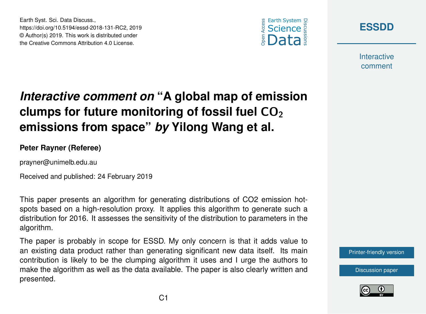



**Interactive** comment

## *Interactive comment on* **"A global map of emission clumps for future monitoring of fossil fuel CO<sub>2</sub> emissions from space"** *by* **Yilong Wang et al.**

**Peter Rayner (Referee)**

Earth Syst. Sci. Data Discuss.,

https://doi.org/10.5194/essd-2018-131-RC2, 2019 © Author(s) 2019. This work is distributed under the Creative Commons Attribution 4.0 License.

prayner@unimelb.edu.au

Received and published: 24 February 2019

This paper presents an algorithm for generating distributions of CO2 emission hotspots based on a high-resolution proxy. It applies this algorithm to generate such a distribution for 2016. It assesses the sensitivity of the distribution to parameters in the algorithm.

The paper is probably in scope for ESSD. My only concern is that it adds value to an existing data product rather than generating significant new data itself. Its main contribution is likely to be the clumping algorithm it uses and I urge the authors to make the algorithm as well as the data available. The paper is also clearly written and presented.

[Printer-friendly version](https://www.earth-syst-sci-data-discuss.net/essd-2018-131/essd-2018-131-RC2-print.pdf)

[Discussion paper](https://www.earth-syst-sci-data-discuss.net/essd-2018-131)